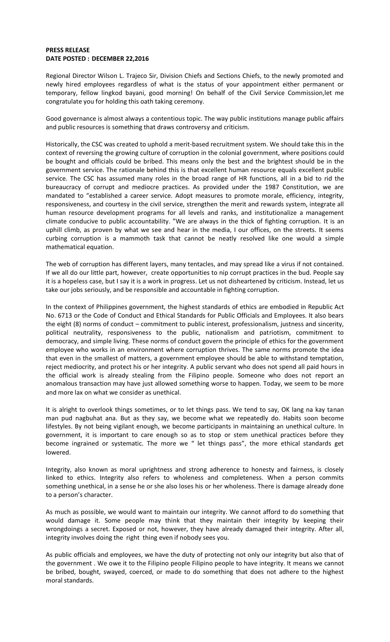## **PRESS RELEASE DATE POSTED : DECEMBER 22,2016**

Regional Director Wilson L. Trajeco Sir, Division Chiefs and Sections Chiefs, to the newly promoted and newly hired employees regardless of what is the status of your appointment either permanent or temporary, fellow lingkod bayani, good morning! On behalf of the Civil Service Commission,let me congratulate you for holding this oath taking ceremony.

Good governance is almost always a contentious topic. The way public institutions manage public affairs and public resources is something that draws controversy and criticism.

Historically, the CSC was created to uphold a merit-based recruitment system. We should take this in the context of reversing the growing culture of corruption in the colonial government, where positions could be bought and officials could be bribed. This means only the best and the brightest should be in the government service. The rationale behind this is that excellent human resource equals excellent public service. The CSC has assumed many roles in the broad range of HR functions, all in a bid to rid the bureaucracy of corrupt and mediocre practices. As provided under the 1987 Constitution, we are mandated to "established a career service. Adopt measures to promote morale, efficiency, integrity, responsiveness, and courtesy in the civil service, strengthen the merit and rewards system, integrate all human resource development programs for all levels and ranks, and institutionalize a management climate conducive to public accountability. "We are always in the thick of fighting corruption. It is an uphill climb, as proven by what we see and hear in the media, I our offices, on the streets. It seems curbing corruption is a mammoth task that cannot be neatly resolved like one would a simple mathematical equation.

The web of corruption has different layers, many tentacles, and may spread like a virus if not contained. If we all do our little part, however, create opportunities to nip corrupt practices in the bud. People say it is a hopeless case, but I say it is a work in progress. Let us not disheartened by criticism. Instead, let us take our jobs seriously, and be responsible and accountable in fighting corruption.

In the context of Philippines government, the highest standards of ethics are embodied in Republic Act No. 6713 or the Code of Conduct and Ethical Standards for Public Officials and Employees. It also bears the eight (8) norms of conduct – commitment to public interest, professionalism, justness and sincerity, political neutrality, responsiveness to the public, nationalism and patriotism, commitment to democracy, and simple living. These norms of conduct govern the principle of ethics for the government employee who works in an environment where corruption thrives. The same norms promote the idea that even in the smallest of matters, a government employee should be able to withstand temptation, reject mediocrity, and protect his or her integrity. A public servant who does not spend all paid hours in the official work is already stealing from the Filipino people. Someone who does not report an anomalous transaction may have just allowed something worse to happen. Today, we seem to be more and more lax on what we consider as unethical.

It is alright to overlook things sometimes, or to let things pass. We tend to say, OK lang na kay tanan man pud nagbuhat ana. But as they say, we become what we repeatedly do. Habits soon become lifestyles. By not being vigilant enough, we become participants in maintaining an unethical culture. In government, it is important to care enough so as to stop or stem unethical practices before they become ingrained or systematic. The more we " let things pass", the more ethical standards get lowered.

Integrity, also known as moral uprightness and strong adherence to honesty and fairness, is closely linked to ethics. Integrity also refers to wholeness and completeness. When a person commits something unethical, in a sense he or she also loses his or her wholeness. There is damage already done to a person's character.

As much as possible, we would want to maintain our integrity. We cannot afford to do something that would damage it. Some people may think that they maintain their integrity by keeping their wrongdoings a secret. Exposed or not, however, they have already damaged their integrity. After all, integrity involves doing the right thing even if nobody sees you.

As public officials and employees, we have the duty of protecting not only our integrity but also that of the government . We owe it to the Filipino people Filipino people to have integrity. It means we cannot be bribed, bought, swayed, coerced, or made to do something that does not adhere to the highest moral standards.